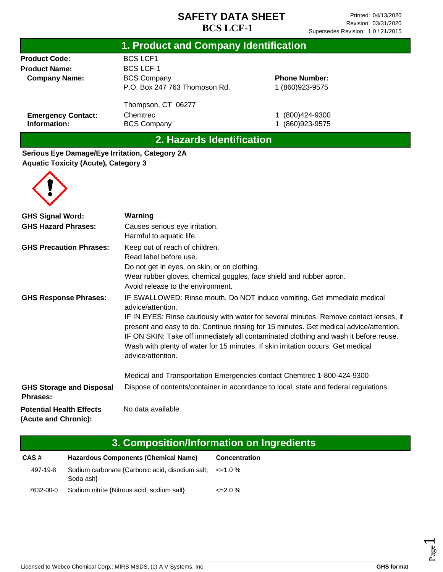| 1. Product and Company Identification |                               |                      |  |
|---------------------------------------|-------------------------------|----------------------|--|
| <b>Product Code:</b>                  | <b>BCS LCF1</b>               |                      |  |
| <b>Product Name:</b>                  | <b>BCS LCF-1</b>              |                      |  |
| <b>Company Name:</b>                  | <b>BCS Company</b>            | <b>Phone Number:</b> |  |
|                                       | P.O. Box 247 763 Thompson Rd. | 1 (860) 923-9575     |  |
|                                       | Thompson, CT 06277            |                      |  |
| <b>Emergency Contact:</b>             | Chemtrec                      | (800) 424-9300       |  |
| Information:                          | <b>BCS Company</b>            | (860) 923-9575       |  |

## **2. Hazards Identification**

**Serious Eye Damage/Eye Irritation, Category 2A Aquatic Toxicity (Acute), Category 3**



| <b>GHS Signal Word:</b>                                 | Warning                                                                                                                                                                                                                                                                                                                                                                                                                                                                            |  |
|---------------------------------------------------------|------------------------------------------------------------------------------------------------------------------------------------------------------------------------------------------------------------------------------------------------------------------------------------------------------------------------------------------------------------------------------------------------------------------------------------------------------------------------------------|--|
| <b>GHS Hazard Phrases:</b>                              | Causes serious eye irritation.<br>Harmful to aquatic life.                                                                                                                                                                                                                                                                                                                                                                                                                         |  |
| <b>GHS Precaution Phrases:</b>                          | Keep out of reach of children.<br>Read label before use.<br>Do not get in eyes, on skin, or on clothing.<br>Wear rubber gloves, chemical goggles, face shield and rubber apron.<br>Avoid release to the environment.                                                                                                                                                                                                                                                               |  |
| <b>GHS Response Phrases:</b>                            | IF SWALLOWED: Rinse mouth. Do NOT induce vomiting. Get immediate medical<br>advice/attention.<br>IF IN EYES: Rinse cautiously with water for several minutes. Remove contact lenses, if<br>present and easy to do. Continue rinsing for 15 minutes. Get medical advice/attention.<br>IF ON SKIN: Take off immediately all contaminated clothing and wash it before reuse.<br>Wash with plenty of water for 15 minutes. If skin irritation occurs: Get medical<br>advice/attention. |  |
|                                                         | Medical and Transportation Emergencies contact Chemtrec 1-800-424-9300                                                                                                                                                                                                                                                                                                                                                                                                             |  |
| <b>GHS Storage and Disposal</b><br><b>Phrases:</b>      | Dispose of contents/container in accordance to local, state and federal regulations.                                                                                                                                                                                                                                                                                                                                                                                               |  |
| <b>Potential Health Effects</b><br>(Acute and Chronic): | No data available.                                                                                                                                                                                                                                                                                                                                                                                                                                                                 |  |

| 3. Composition/Information on Ingredients |                                                                           |                      |  |  |
|-------------------------------------------|---------------------------------------------------------------------------|----------------------|--|--|
| CAS#                                      | <b>Hazardous Components (Chemical Name)</b>                               | <b>Concentration</b> |  |  |
| 497-19-8                                  | Sodium carbonate {Carbonic acid, disodium salt; $\leq$ =1.0 %<br>Soda ash |                      |  |  |
| 7632-00-0                                 | Sodium nitrite {Nitrous acid, sodium salt}                                | $\leq$ 2.0 %         |  |  |

Page  $\overline{\phantom{0}}$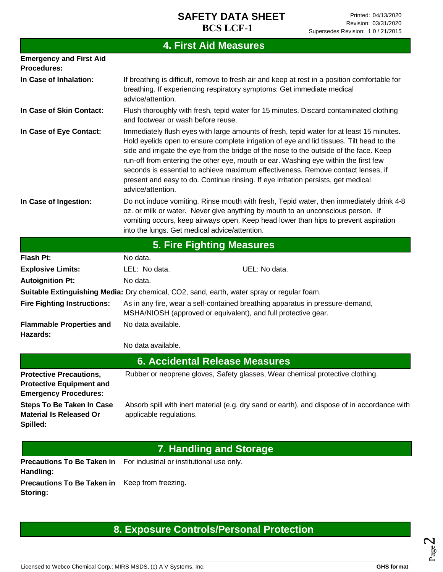# **4. First Aid Measures**

| <b>Emergency and First Aid</b><br><b>Procedures:</b>                                              |                                                                                                                                                                                                                                                                                                                                                                                                                                                                                                                                                                     |                                                                                              |  |
|---------------------------------------------------------------------------------------------------|---------------------------------------------------------------------------------------------------------------------------------------------------------------------------------------------------------------------------------------------------------------------------------------------------------------------------------------------------------------------------------------------------------------------------------------------------------------------------------------------------------------------------------------------------------------------|----------------------------------------------------------------------------------------------|--|
| In Case of Inhalation:                                                                            | If breathing is difficult, remove to fresh air and keep at rest in a position comfortable for<br>breathing. If experiencing respiratory symptoms: Get immediate medical<br>advice/attention.                                                                                                                                                                                                                                                                                                                                                                        |                                                                                              |  |
| In Case of Skin Contact:                                                                          | Flush thoroughly with fresh, tepid water for 15 minutes. Discard contaminated clothing<br>and footwear or wash before reuse.                                                                                                                                                                                                                                                                                                                                                                                                                                        |                                                                                              |  |
| In Case of Eye Contact:                                                                           | Immediately flush eyes with large amounts of fresh, tepid water for at least 15 minutes.<br>Hold eyelids open to ensure complete irrigation of eye and lid tissues. Tilt head to the<br>side and irrigate the eye from the bridge of the nose to the outside of the face. Keep<br>run-off from entering the other eye, mouth or ear. Washing eye within the first few<br>seconds is essential to achieve maximum effectiveness. Remove contact lenses, if<br>present and easy to do. Continue rinsing. If eye irritation persists, get medical<br>advice/attention. |                                                                                              |  |
| In Case of Ingestion:                                                                             | Do not induce vomiting. Rinse mouth with fresh, Tepid water, then immediately drink 4-8<br>oz. or milk or water. Never give anything by mouth to an unconscious person. If<br>vomiting occurs, keep airways open. Keep head lower than hips to prevent aspiration<br>into the lungs. Get medical advice/attention.                                                                                                                                                                                                                                                  |                                                                                              |  |
|                                                                                                   |                                                                                                                                                                                                                                                                                                                                                                                                                                                                                                                                                                     | <b>5. Fire Fighting Measures</b>                                                             |  |
| Flash Pt:                                                                                         | No data.                                                                                                                                                                                                                                                                                                                                                                                                                                                                                                                                                            |                                                                                              |  |
| <b>Explosive Limits:</b>                                                                          | LEL: No data.                                                                                                                                                                                                                                                                                                                                                                                                                                                                                                                                                       | UEL: No data.                                                                                |  |
| <b>Autoignition Pt:</b>                                                                           | No data.                                                                                                                                                                                                                                                                                                                                                                                                                                                                                                                                                            |                                                                                              |  |
|                                                                                                   |                                                                                                                                                                                                                                                                                                                                                                                                                                                                                                                                                                     | Suitable Extinguishing Media: Dry chemical, CO2, sand, earth, water spray or regular foam.   |  |
| <b>Fire Fighting Instructions:</b>                                                                | As in any fire, wear a self-contained breathing apparatus in pressure-demand,<br>MSHA/NIOSH (approved or equivalent), and full protective gear.                                                                                                                                                                                                                                                                                                                                                                                                                     |                                                                                              |  |
| <b>Flammable Properties and</b><br>Hazards:                                                       | No data available.                                                                                                                                                                                                                                                                                                                                                                                                                                                                                                                                                  |                                                                                              |  |
|                                                                                                   | No data available.                                                                                                                                                                                                                                                                                                                                                                                                                                                                                                                                                  |                                                                                              |  |
|                                                                                                   |                                                                                                                                                                                                                                                                                                                                                                                                                                                                                                                                                                     | <b>6. Accidental Release Measures</b>                                                        |  |
| <b>Protective Precautions,</b><br><b>Protective Equipment and</b><br><b>Emergency Procedures:</b> |                                                                                                                                                                                                                                                                                                                                                                                                                                                                                                                                                                     | Rubber or neoprene gloves, Safety glasses, Wear chemical protective clothing.                |  |
| <b>Steps To Be Taken In Case</b><br><b>Material Is Released Or</b><br>Spilled:                    | applicable regulations.                                                                                                                                                                                                                                                                                                                                                                                                                                                                                                                                             | Absorb spill with inert material (e.g. dry sand or earth), and dispose of in accordance with |  |
|                                                                                                   |                                                                                                                                                                                                                                                                                                                                                                                                                                                                                                                                                                     | <b>7. Handling and Storage</b>                                                               |  |
| <b>Precautions To Be Taken in</b><br>Handling:                                                    | For industrial or institutional use only.                                                                                                                                                                                                                                                                                                                                                                                                                                                                                                                           |                                                                                              |  |

**Precautions To Be Taken in**  Keep from freezing. **Storing:**

# **8. Exposure Controls/Personal Protection**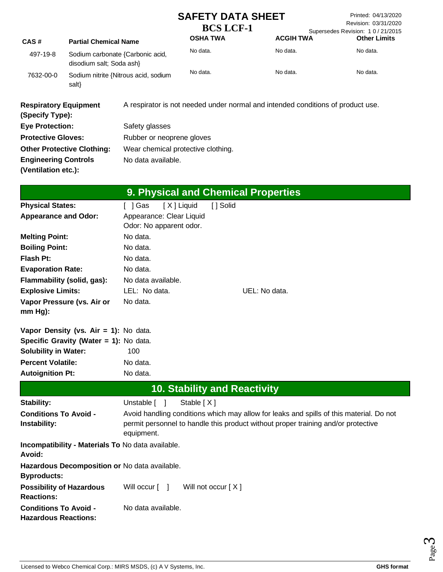|                                                             |                                                              | <b>SAFETY DATA SHEET</b><br><b>BCS LCF-1</b>  |                                     |               | Printed: 04/13/2020<br>Revision: 03/31/2020<br>Supersedes Revision: 10/21/2015                                                                                               |                     |
|-------------------------------------------------------------|--------------------------------------------------------------|-----------------------------------------------|-------------------------------------|---------------|------------------------------------------------------------------------------------------------------------------------------------------------------------------------------|---------------------|
| CAS#                                                        | <b>Partial Chemical Name</b>                                 |                                               | <b>OSHA TWA</b>                     |               | <b>ACGIH TWA</b>                                                                                                                                                             | <b>Other Limits</b> |
| 497-19-8                                                    | Sodium carbonate {Carbonic acid,<br>disodium salt; Soda ash} |                                               | No data.                            |               | No data.                                                                                                                                                                     | No data.            |
| 7632-00-0                                                   | Sodium nitrite {Nitrous acid, sodium<br>salt}                | No data.<br>No data.<br>No data.              |                                     |               |                                                                                                                                                                              |                     |
| <b>Respiratory Equipment</b><br>(Specify Type):             |                                                              |                                               |                                     |               | A respirator is not needed under normal and intended conditions of product use.                                                                                              |                     |
| <b>Eye Protection:</b>                                      |                                                              | Safety glasses                                |                                     |               |                                                                                                                                                                              |                     |
| <b>Protective Gloves:</b>                                   |                                                              | Rubber or neoprene gloves                     |                                     |               |                                                                                                                                                                              |                     |
| <b>Other Protective Clothing:</b>                           |                                                              |                                               | Wear chemical protective clothing.  |               |                                                                                                                                                                              |                     |
| <b>Engineering Controls</b>                                 |                                                              | No data available.                            |                                     |               |                                                                                                                                                                              |                     |
| (Ventilation etc.):                                         |                                                              |                                               |                                     |               |                                                                                                                                                                              |                     |
|                                                             |                                                              |                                               | 9. Physical and Chemical Properties |               |                                                                                                                                                                              |                     |
| <b>Physical States:</b>                                     |                                                              | [ ] Gas                                       | [X] Liquid<br>[ ] Solid             |               |                                                                                                                                                                              |                     |
| <b>Appearance and Odor:</b>                                 |                                                              | Appearance: Clear Liquid                      |                                     |               |                                                                                                                                                                              |                     |
|                                                             |                                                              | Odor: No apparent odor.                       |                                     |               |                                                                                                                                                                              |                     |
| <b>Melting Point:</b>                                       |                                                              | No data.                                      |                                     |               |                                                                                                                                                                              |                     |
| <b>Boiling Point:</b>                                       |                                                              | No data.                                      |                                     |               |                                                                                                                                                                              |                     |
| <b>Flash Pt:</b>                                            |                                                              | No data.                                      |                                     |               |                                                                                                                                                                              |                     |
| <b>Evaporation Rate:</b>                                    |                                                              | No data.                                      |                                     |               |                                                                                                                                                                              |                     |
| Flammability (solid, gas):                                  |                                                              | No data available.                            |                                     |               |                                                                                                                                                                              |                     |
| <b>Explosive Limits:</b>                                    |                                                              | LEL: No data.                                 |                                     | UEL: No data. |                                                                                                                                                                              |                     |
| Vapor Pressure (vs. Air or<br>$mm Hg$ ):                    |                                                              | No data.                                      |                                     |               |                                                                                                                                                                              |                     |
|                                                             | Vapor Density (vs. Air = 1): No data.                        |                                               |                                     |               |                                                                                                                                                                              |                     |
|                                                             | Specific Gravity (Water = 1): No data.                       |                                               |                                     |               |                                                                                                                                                                              |                     |
| <b>Solubility in Water:</b>                                 |                                                              | 100                                           |                                     |               |                                                                                                                                                                              |                     |
| <b>Percent Volatile:</b>                                    |                                                              | No data.                                      |                                     |               |                                                                                                                                                                              |                     |
| <b>Autoignition Pt:</b>                                     |                                                              | No data.                                      |                                     |               |                                                                                                                                                                              |                     |
| <b>10. Stability and Reactivity</b>                         |                                                              |                                               |                                     |               |                                                                                                                                                                              |                     |
| Stability:                                                  |                                                              | Unstable [ ]                                  | Stable [X]                          |               |                                                                                                                                                                              |                     |
| <b>Conditions To Avoid -</b><br>Instability:                |                                                              | equipment.                                    |                                     |               | Avoid handling conditions which may allow for leaks and spills of this material. Do not<br>permit personnel to handle this product without proper training and/or protective |                     |
| Incompatibility - Materials To No data available.<br>Avoid: |                                                              |                                               |                                     |               |                                                                                                                                                                              |                     |
| <b>Byproducts:</b>                                          |                                                              | Hazardous Decomposition or No data available. |                                     |               |                                                                                                                                                                              |                     |
| <b>Possibility of Hazardous</b><br><b>Reactions:</b>        |                                                              | Will occur [ ]                                | Will not occur [X]                  |               |                                                                                                                                                                              |                     |
| <b>Conditions To Avoid -</b><br><b>Hazardous Reactions:</b> |                                                              | No data available.                            |                                     |               |                                                                                                                                                                              |                     |

Page ო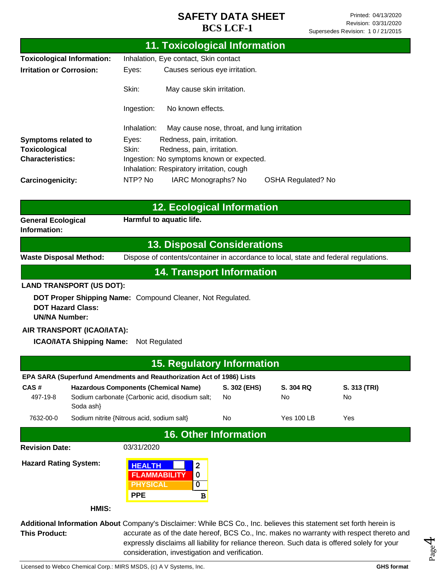|                                                                                                                    | <b>11. Toxicological Information</b>                                                                                                                                                     |                                             |                           |                    |  |
|--------------------------------------------------------------------------------------------------------------------|------------------------------------------------------------------------------------------------------------------------------------------------------------------------------------------|---------------------------------------------|---------------------------|--------------------|--|
| <b>Toxicological Information:</b>                                                                                  | Inhalation, Eye contact, Skin contact                                                                                                                                                    |                                             |                           |                    |  |
| <b>Irritation or Corrosion:</b>                                                                                    | Causes serious eye irritation.<br>Eyes:                                                                                                                                                  |                                             |                           |                    |  |
|                                                                                                                    | Skin:<br>May cause skin irritation.                                                                                                                                                      |                                             |                           |                    |  |
|                                                                                                                    | No known effects.<br>Ingestion:                                                                                                                                                          |                                             |                           |                    |  |
|                                                                                                                    | Inhalation:                                                                                                                                                                              | May cause nose, throat, and lung irritation |                           |                    |  |
| <b>Symptoms related to</b>                                                                                         | Redness, pain, irritation.<br>Eyes:                                                                                                                                                      |                                             |                           |                    |  |
| <b>Toxicological</b><br><b>Characteristics:</b>                                                                    | Skin:<br>Redness, pain, irritation.                                                                                                                                                      |                                             |                           |                    |  |
|                                                                                                                    | Ingestion: No symptoms known or expected.<br>Inhalation: Respiratory irritation, cough                                                                                                   |                                             |                           |                    |  |
| Carcinogenicity:                                                                                                   | NTP? No<br>IARC Monographs? No                                                                                                                                                           |                                             | <b>OSHA Regulated? No</b> |                    |  |
|                                                                                                                    | <b>12. Ecological Information</b>                                                                                                                                                        |                                             |                           |                    |  |
| <b>General Ecological</b>                                                                                          | Harmful to aquatic life.                                                                                                                                                                 |                                             |                           |                    |  |
| Information:                                                                                                       |                                                                                                                                                                                          |                                             |                           |                    |  |
|                                                                                                                    | <b>13. Disposal Considerations</b>                                                                                                                                                       |                                             |                           |                    |  |
| <b>Waste Disposal Method:</b>                                                                                      | Dispose of contents/container in accordance to local, state and federal regulations.                                                                                                     |                                             |                           |                    |  |
|                                                                                                                    | <b>14. Transport Information</b>                                                                                                                                                         |                                             |                           |                    |  |
| <b>LAND TRANSPORT (US DOT):</b>                                                                                    |                                                                                                                                                                                          |                                             |                           |                    |  |
| <b>DOT Hazard Class:</b><br><b>UN/NA Number:</b>                                                                   | DOT Proper Shipping Name: Compound Cleaner, Not Regulated.                                                                                                                               |                                             |                           |                    |  |
| AIR TRANSPORT (ICAO/IATA):                                                                                         |                                                                                                                                                                                          |                                             |                           |                    |  |
| <b>ICAO/IATA Shipping Name:</b>                                                                                    | Not Regulated                                                                                                                                                                            |                                             |                           |                    |  |
|                                                                                                                    | <b>15. Regulatory Information</b>                                                                                                                                                        |                                             |                           |                    |  |
| EPA SARA (Superfund Amendments and Reauthorization Act of 1986) Lists                                              |                                                                                                                                                                                          |                                             |                           |                    |  |
| CAS#<br>497-19-8<br>Soda ash}                                                                                      | <b>Hazardous Components (Chemical Name)</b><br>Sodium carbonate {Carbonic acid, disodium salt;                                                                                           | S. 302 (EHS)<br>No                          | S. 304 RQ<br>No           | S. 313 (TRI)<br>No |  |
| 7632-00-0                                                                                                          | Sodium nitrite {Nitrous acid, sodium salt}                                                                                                                                               | No                                          | <b>Yes 100 LB</b>         | Yes                |  |
| <b>16. Other Information</b>                                                                                       |                                                                                                                                                                                          |                                             |                           |                    |  |
| <b>Revision Date:</b>                                                                                              | 03/31/2020                                                                                                                                                                               |                                             |                           |                    |  |
| <b>Hazard Rating System:</b>                                                                                       | <b>HEALTH</b><br>2<br><b>FLAMMABILITY</b><br>0<br><b>PHYSICAL</b><br>$\pmb{0}$<br><b>PPE</b><br>В                                                                                        |                                             |                           |                    |  |
| HMIS:                                                                                                              |                                                                                                                                                                                          |                                             |                           |                    |  |
| Additional Information About Company's Disclaimer: While BCS Co., Inc. believes this statement set forth herein is |                                                                                                                                                                                          |                                             |                           |                    |  |
| <b>This Product:</b>                                                                                               | accurate as of the date hereof, BCS Co., Inc. makes no warranty with respect thereto and<br>expressly disclaims all liability for reliance thereon. Such data is offered solely for your |                                             |                           |                    |  |

consideration, investigation and verification.

Licensed to Webco Chemical Corp.: MIRS MSDS, (c) A V Systems, Inc. **GHS** format **GHS** format

Page 4